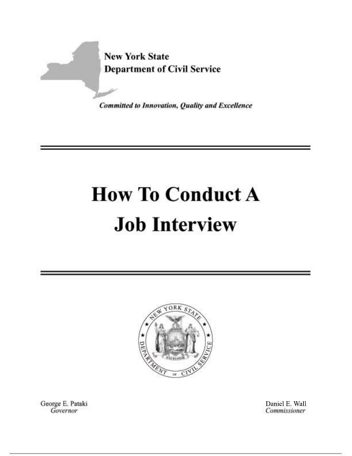

Committed to Innovation, Quality and Excellence

# **How To Conduct A Job Interview**



George E. Pataki Governor

Daniel E. Wall Commissioner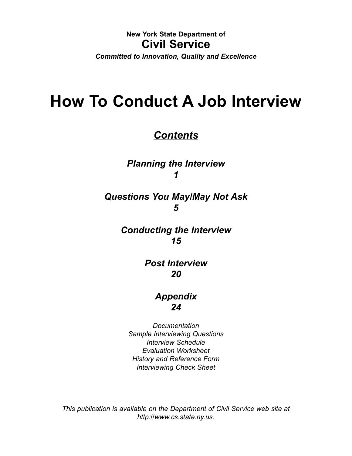#### **New York State Department of Civil Service**

*Committed to Innovation, Quality and Excellence*

# **How To Conduct A Job Interview**

# *Contents*

*Planning the Interview 1*

# *Questions You May/May Not Ask 5*

*Conducting the Interview 15*

> *Post Interview 20*

# *Appendix 24*

*Documentation Sample Interviewing Questions Interview Schedule Evaluation Worksheet History and Reference Form Interviewing Check Sheet*

*This publication is available on the Department of Civil Service web site at http://www.cs.state.ny.us.*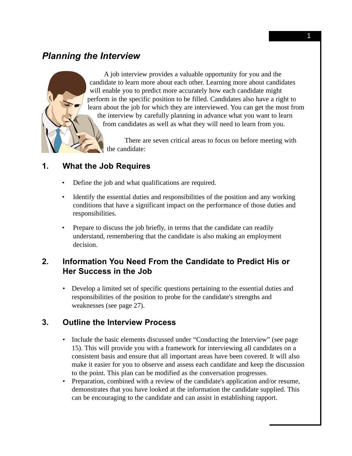# *Planning the Interview*



A job interview provides a valuable opportunity for you and the candidate to learn more about each other. Learning more about candidates will enable you to predict more accurately how each candidate might perform in the specific position to be filled. Candidates also have a right to learn about the job for which they are interviewed. You can get the most from the interview by carefully planning in advance what you want to learn from candidates as well as what they will need to learn from you.

There are seven critical areas to focus on before meeting with the candidate:

# **1. What the Job Requires**

- Define the job and what qualifications are required.
- Identify the essential duties and responsibilities of the position and any working conditions that have a significant impact on the performance of those duties and responsibilities.
- Prepare to discuss the job briefly, in terms that the candidate can readily understand, remembering that the candidate is also making an employment decision.

# **2. Information You Need From the Candidate to Predict His or Her Success in the Job**

• Develop a limited set of specific questions pertaining to the essential duties and responsibilities of the position to probe for the candidate's strengths and weaknesses (see page 27).

#### **3. Outline the Interview Process**

- Include the basic elements discussed under "Conducting the Interview" (see page 15). This will provide you with a framework for interviewing all candidates on a consistent basis and ensure that all important areas have been covered. It will also make it easier for you to observe and assess each candidate and keep the discussion to the point. This plan can be modified as the conversation progresses.
- Preparation, combined with a review of the candidate's application and/or resume, demonstrates that you have looked at the information the candidate supplied. This can be encouraging to the candidate and can assist in establishing rapport.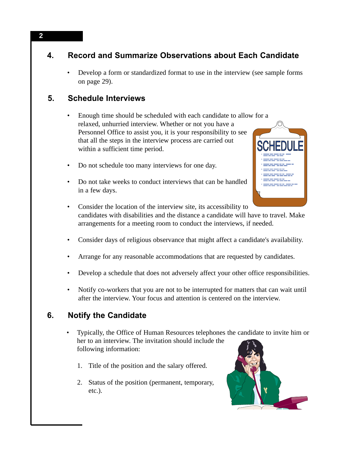# **4. Record and Summarize Observations about Each Candidate**

• Develop a form or standardized format to use in the interview (see sample forms on page 29).

# **5. Schedule Interviews**

- Enough time should be scheduled with each candidate to allow for a relaxed, unhurried interview. Whether or not you have a Personnel Office to assist you, it is your responsibility to see that all the steps in the interview process are carried out within a sufficient time period.
- Do not schedule too many interviews for one day.
- Do not take weeks to conduct interviews that can be handled in a few days.



- Consider the location of the interview site, its accessibility to candidates with disabilities and the distance a candidate will have to travel. Make arrangements for a meeting room to conduct the interviews, if needed.
- Consider days of religious observance that might affect a candidate's availability.
- Arrange for any reasonable accommodations that are requested by candidates.
- Develop a schedule that does not adversely affect your other office responsibilities.
- Notify co-workers that you are not to be interrupted for matters that can wait until after the interview. Your focus and attention is centered on the interview.

# **6. Notify the Candidate**

- Typically, the Office of Human Resources telephones the candidate to invite him or her to an interview. The invitation should include the following information:
	- 1. Title of the position and the salary offered.
	- 2. Status of the position (permanent, temporary, etc.).



**2**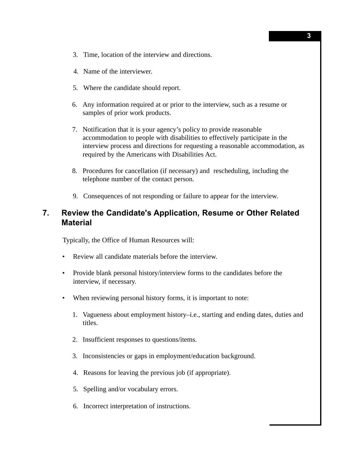- 3. Time, location of the interview and directions.
- 4. Name of the interviewer.
- 5. Where the candidate should report.
- 6. Any information required at or prior to the interview, such as a resume or samples of prior work products.
- 7. Notification that it is your agency's policy to provide reasonable accommodation to people with disabilities to effectively participate in the interview process and directions for requesting a reasonable accommodation, as required by the Americans with Disabilities Act.
- 8. Procedures for cancellation (if necessary) and rescheduling, including the telephone number of the contact person.
- 9. Consequences of not responding or failure to appear for the interview.

#### **7. Review the Candidate's Application, Resume or Other Related Material**

Typically, the Office of Human Resources will:

- Review all candidate materials before the interview.
- Provide blank personal history/interview forms to the candidates before the interview, if necessary.
- When reviewing personal history forms, it is important to note:
	- 1. Vagueness about employment history–i.e., starting and ending dates, duties and titles.
	- 2. Insufficient responses to questions/items.
	- 3. Inconsistencies or gaps in employment/education background.
	- 4. Reasons for leaving the previous job (if appropriate).
	- 5. Spelling and/or vocabulary errors.
	- 6. Incorrect interpretation of instructions.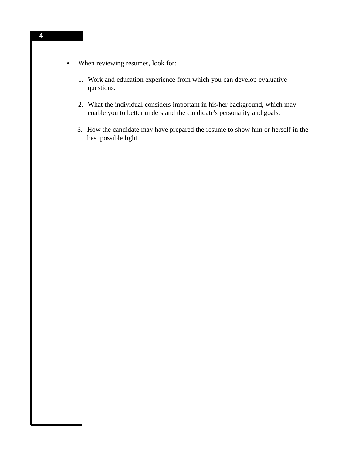- When reviewing resumes, look for:
	- 1. Work and education experience from which you can develop evaluative questions.
	- 2. What the individual considers important in his/her background, which may enable you to better understand the candidate's personality and goals.
	- 3. How the candidate may have prepared the resume to show him or herself in the best possible light.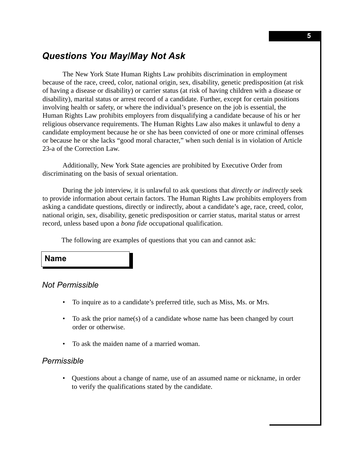# *Questions You May/May Not Ask*

The New York State Human Rights Law prohibits discrimination in employment because of the race, creed, color, national origin, sex, disability, genetic predisposition (at risk of having a disease or disability) or carrier status (at risk of having children with a disease or disability), marital status or arrest record of a candidate. Further, except for certain positions involving health or safety, or where the individual's presence on the job is essential, the Human Rights Law prohibits employers from disqualifying a candidate because of his or her religious observance requirements. The Human Rights Law also makes it unlawful to deny a candidate employment because he or she has been convicted of one or more criminal offenses or because he or she lacks "good moral character," when such denial is in violation of Article 23-a of the Correction Law.

Additionally, New York State agencies are prohibited by Executive Order from discriminating on the basis of sexual orientation.

During the job interview, it is unlawful to ask questions that *directly or indirectly* seek to provide information about certain factors. The Human Rights Law prohibits employers from asking a candidate questions, directly or indirectly, about a candidate's age, race, creed, color, national origin, sex, disability, genetic predisposition or carrier status, marital status or arrest record, unless based upon a *bona fide* occupational qualification.

The following are examples of questions that you can and cannot ask:

#### **Name**

#### *Not Permissible*

- To inquire as to a candidate's preferred title, such as Miss, Ms. or Mrs.
- To ask the prior name(s) of a candidate whose name has been changed by court order or otherwise.
- To ask the maiden name of a married woman.

#### *Permissible*

• Questions about a change of name, use of an assumed name or nickname, in order to verify the qualifications stated by the candidate.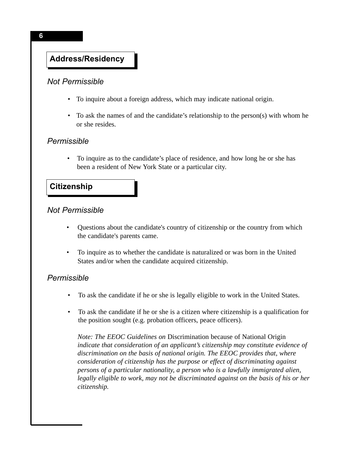# **Personal Information Address/Residency**

#### *Not Permissible*

- To inquire about a foreign address, which may indicate national origin.
- To ask the names of and the candidate's relationship to the person(s) with whom he or she resides.

#### *Permissible*

• To inquire as to the candidate's place of residence, and how long he or she has been a resident of New York State or a particular city.

#### **Citizenship**

#### *Not Permissible*

- Questions about the candidate's country of citizenship or the country from which the candidate's parents came.
- To inquire as to whether the candidate is naturalized or was born in the United States and/or when the candidate acquired citizenship.

#### *Permissible*

- To ask the candidate if he or she is legally eligible to work in the United States.
- To ask the candidate if he or she is a citizen where citizenship is a qualification for the position sought (e.g. probation officers, peace officers).

*Note: The EEOC Guidelines on* Discrimination because of National Origin *indicate that consideration of an applicant's citizenship may constitute evidence of discrimination on the basis of national origin. The EEOC provides that, where consideration of citizenship has the purpose or effect of discriminating against persons of a particular nationality, a person who is a lawfully immigrated alien, legally eligible to work, may not be discriminated against on the basis of his or her citizenship.*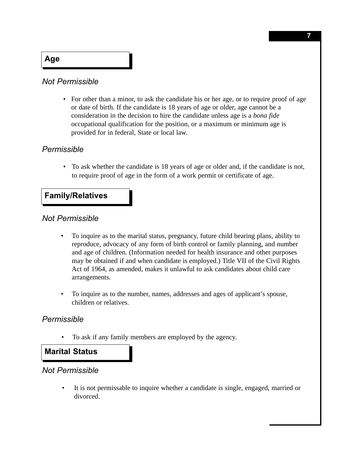## **Age**

#### *Not Permissible*

• For other than a minor, to ask the candidate his or her age, or to require proof of age or date of birth. If the candidate is 18 years of age or older, age cannot be a consideration in the decision to hire the candidate unless age is a *bona fide* occupational qualification for the position, or a maximum or minimum age is provided for in federal, State or local law.

#### *Permissible*

• To ask whether the candidate is 18 years of age or older and, if the candidate is not, to require proof of age in the form of a work permit or certificate of age.

#### **Family/Relatives**

#### *Not Permissible*

- To inquire as to the marital status, pregnancy, future child bearing plans, ability to reproduce, advocacy of any form of birth control or family planning, and number and age of children. (Information needed for health insurance and other purposes may be obtained if and when candidate is employed.) Title VII of the Civil Rights Act of 1964, as amended, makes it unlawful to ask candidates about child care arrangements.
- To inquire as to the number, names, addresses and ages of applicant's spouse, children or relatives.

#### *Permissible*

• To ask if any family members are employed by the agency.

#### **Marital Status**

#### *Not Permissible*

• It is not permissable to inquire whether a candidate is single, engaged, married or divorced.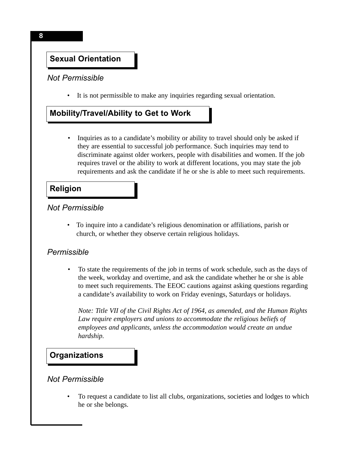# **Sexual Orientation**

#### *Not Permissible*

• It is not permissible to make any inquiries regarding sexual orientation.

# **Mobility/Travel/Ability to Get to Work**

• Inquiries as to a candidate's mobility or ability to travel should only be asked if they are essential to successful job performance. Such inquiries may tend to discriminate against older workers, people with disabilities and women. If the job requires travel or the ability to work at different locations, you may state the job requirements and ask the candidate if he or she is able to meet such requirements.

#### **Religion**

#### *Not Permissible*

• To inquire into a candidate's religious denomination or affiliations, parish or church, or whether they observe certain religious holidays.

#### *Permissible*

• To state the requirements of the job in terms of work schedule, such as the days of the week, workday and overtime, and ask the candidate whether he or she is able to meet such requirements. The EEOC cautions against asking questions regarding a candidate's availability to work on Friday evenings, Saturdays or holidays.

*Note: Title VII of the Civil Rights Act of 1964, as amended, and the Human Rights Law require employers and unions to accommodate the religious beliefs of employees and applicants, unless the accommodation would create an undue hardship.* 

# **Organizations**

#### *Not Permissible*

• To request a candidate to list all clubs, organizations, societies and lodges to which he or she belongs.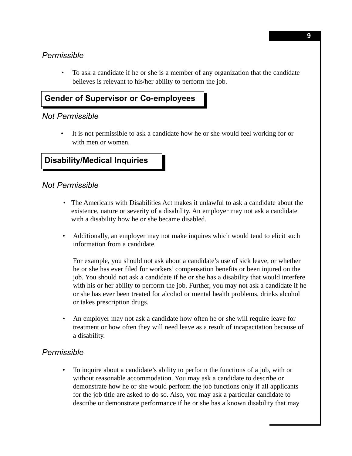#### *Permissible*

• To ask a candidate if he or she is a member of any organization that the candidate believes is relevant to his/her ability to perform the job.

# **Gender of Supervisor or Co-employees**

#### *Not Permissible*

• It is not permissible to ask a candidate how he or she would feel working for or with men or women.

# **Disability/Medical Inquiries**

#### *Not Permissible*

- The Americans with Disabilities Act makes it unlawful to ask a candidate about the existence, nature or severity of a disability. An employer may not ask a candidate with a disability how he or she became disabled.
- Additionally, an employer may not make inquires which would tend to elicit such information from a candidate.

For example, you should not ask about a candidate's use of sick leave, or whether he or she has ever filed for workers' compensation benefits or been injured on the job. You should not ask a candidate if he or she has a disability that would interfere with his or her ability to perform the job. Further, you may not ask a candidate if he or she has ever been treated for alcohol or mental health problems, drinks alcohol or takes prescription drugs.

• An employer may not ask a candidate how often he or she will require leave for treatment or how often they will need leave as a result of incapacitation because of a disability.

#### *Permissible*

• To inquire about a candidate's ability to perform the functions of a job, with or without reasonable accommodation. You may ask a candidate to describe or demonstrate how he or she would perform the job functions only if all applicants for the job title are asked to do so. Also, you may ask a particular candidate to describe or demonstrate performance if he or she has a known disability that may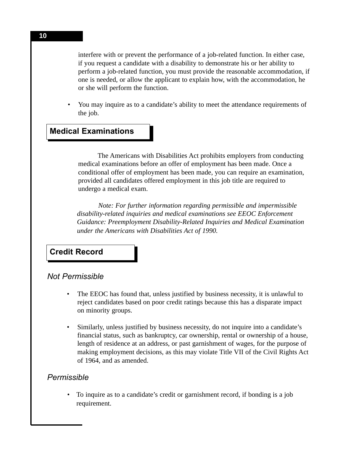interfere with or prevent the performance of a job-related function. In either case, if you request a candidate with a disability to demonstrate his or her ability to perform a job-related function, you must provide the reasonable accommodation, if one is needed, or allow the applicant to explain how, with the accommodation, he or she will perform the function.

• You may inquire as to a candidate's ability to meet the attendance requirements of the job.

# **Medical Examinations**

The Americans with Disabilities Act prohibits employers from conducting medical examinations before an offer of employment has been made. Once a conditional offer of employment has been made, you can require an examination, provided all candidates offered employment in this job title are required to undergo a medical exam.

*Note: For further information regarding permissible and impermissible disability-related inquiries and medical examinations see EEOC Enforcement Guidance: Preemployment Disability-Related Inquiries and Medical Examination under the Americans with Disabilities Act of 1990.*

#### **Credit Record**

#### *Not Permissible*

- The EEOC has found that, unless justified by business necessity, it is unlawful to reject candidates based on poor credit ratings because this has a disparate impact on minority groups.
- Similarly, unless justified by business necessity, do not inquire into a candidate's financial status, such as bankruptcy, car ownership, rental or ownership of a house, length of residence at an address, or past garnishment of wages, for the purpose of making employment decisions, as this may violate Title VII of the Civil Rights Act of 1964, and as amended.

#### *Permissible*

• To inquire as to a candidate's credit or garnishment record, if bonding is a job requirement.

**10**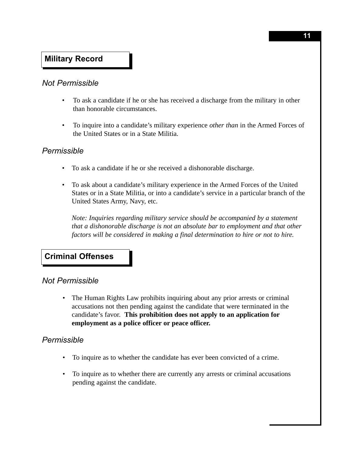# **Military Record**

#### *Not Permissible*

- To ask a candidate if he or she has received a discharge from the military in other than honorable circumstances.
- To inquire into a candidate's military experience *other than* in the Armed Forces of the United States or in a State Militia.

#### *Permissible*

- To ask a candidate if he or she received a dishonorable discharge.
- To ask about a candidate's military experience in the Armed Forces of the United States or in a State Militia, or into a candidate's service in a particular branch of the United States Army, Navy, etc.

*Note: Inquiries regarding military service should be accompanied by a statement that a dishonorable discharge is not an absolute bar to employment and that other factors will be considered in making a final determination to hire or not to hire.*

#### **Criminal Offenses**

#### *Not Permissible*

• The Human Rights Law prohibits inquiring about any prior arrests or criminal accusations not then pending against the candidate that were terminated in the candidate's favor. **This prohibition does not apply to an application for employment as a police officer or peace officer.**

#### *Permissible*

- To inquire as to whether the candidate has ever been convicted of a crime.
- To inquire as to whether there are currently any arrests or criminal accusations pending against the candidate.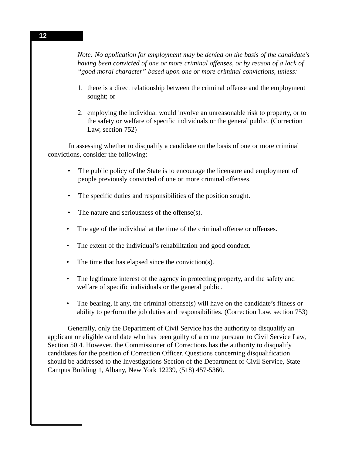*Note: No application for employment may be denied on the basis of the candidate's having been convicted of one or more criminal offenses, or by reason of a lack of "good moral character" based upon one or more criminal convictions, unless:*

- 1. there is a direct relationship between the criminal offense and the employment sought; or
- 2. employing the individual would involve an unreasonable risk to property, or to the safety or welfare of specific individuals or the general public. (Correction Law, section 752)

In assessing whether to disqualify a candidate on the basis of one or more criminal convictions, consider the following:

- The public policy of the State is to encourage the licensure and employment of people previously convicted of one or more criminal offenses.
- The specific duties and responsibilities of the position sought.
- The nature and seriousness of the offense(s).
- The age of the individual at the time of the criminal offense or offenses.
- The extent of the individual's rehabilitation and good conduct.
- The time that has elapsed since the conviction(s).
- The legitimate interest of the agency in protecting property, and the safety and welfare of specific individuals or the general public.
- The bearing, if any, the criminal offense(s) will have on the candidate's fitness or ability to perform the job duties and responsibilities. (Correction Law, section 753)

Generally, only the Department of Civil Service has the authority to disqualify an applicant or eligible candidate who has been guilty of a crime pursuant to Civil Service Law, Section 50.4. However, the Commissioner of Corrections has the authority to disqualify candidates for the position of Correction Officer. Questions concerning disqualification should be addressed to the Investigations Section of the Department of Civil Service, State Campus Building 1, Albany, New York 12239, (518) 457-5360.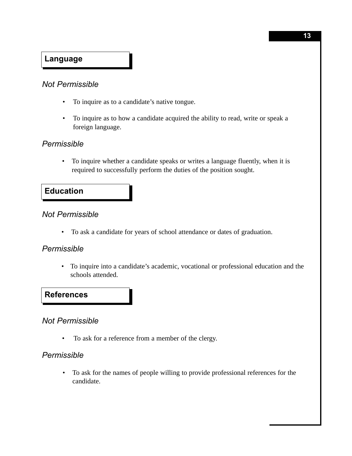# **Language**

#### *Not Permissible*

- To inquire as to a candidate's native tongue.
- To inquire as to how a candidate acquired the ability to read, write or speak a foreign language.

#### *Permissible*

• To inquire whether a candidate speaks or writes a language fluently, when it is required to successfully perform the duties of the position sought.

### **Education**

#### *Not Permissible*

• To ask a candidate for years of school attendance or dates of graduation.

#### *Permissible*

• To inquire into a candidate's academic, vocational or professional education and the schools attended.

#### **References**

#### *Not Permissible*

• To ask for a reference from a member of the clergy.

#### *Permissible*

• To ask for the names of people willing to provide professional references for the candidate.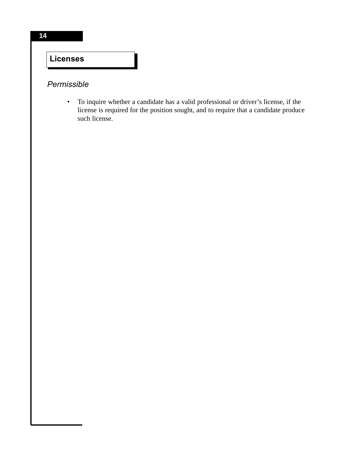# **Licenses**

# *Permissible*

• To inquire whether a candidate has a valid professional or driver's license, if the license is required for the position sought, and to require that a candidate produce such license.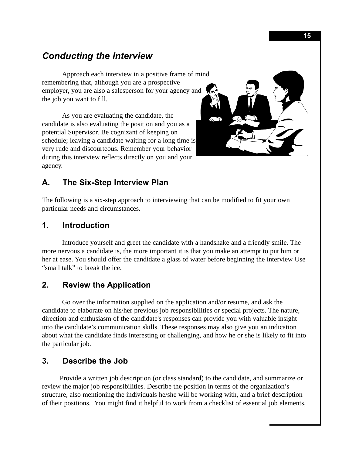# *Conducting the Interview*

Approach each interview in a positive frame of mind remembering that, although you are a prospective employer, you are also a salesperson for your agency and the job you want to fill.

As you are evaluating the candidate, the candidate is also evaluating the position and you as a potential Supervisor. Be cognizant of keeping on schedule; leaving a candidate waiting for a long time is very rude and discourteous. Remember your behavior during this interview reflects directly on you and your agency.



# **A. The Six-Step Interview Plan**

The following is a six-step approach to interviewing that can be modified to fit your own particular needs and circumstances.

#### **1. Introduction**

Introduce yourself and greet the candidate with a handshake and a friendly smile. The more nervous a candidate is, the more important it is that you make an attempt to put him or her at ease. You should offer the candidate a glass of water before beginning the interview Use "small talk" to break the ice.

#### **2. Review the Application**

Go over the information supplied on the application and/or resume, and ask the candidate to elaborate on his/her previous job responsibilities or special projects. The nature, direction and enthusiasm of the candidate's responses can provide you with valuable insight into the candidate's communication skills. These responses may also give you an indication about what the candidate finds interesting or challenging, and how he or she is likely to fit into the particular job.

#### **3. Describe the Job**

Provide a written job description (or class standard) to the candidate, and summarize or review the major job responsibilities. Describe the position in terms of the organization's structure, also mentioning the individuals he/she will be working with, and a brief description of their positions. You might find it helpful to work from a checklist of essential job elements,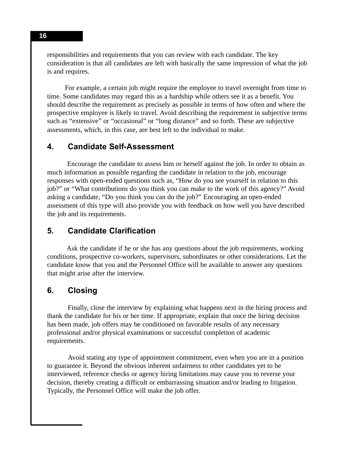responsibilities and requirements that you can review with each candidate. The key consideration is that all candidates are left with basically the same impression of what the job is and requires.

For example, a certain job might require the employee to travel overnight from time to time. Some candidates may regard this as a hardship while others see it as a benefit. You should describe the requirement as precisely as possible in terms of how often and where the prospective employee is likely to travel. Avoid describing the requirement in subjective terms such as "extensive" or "occasional" or "long distance" and so forth. These are subjective assessments, which, in this case, are best left to the individual to make.

#### **4. Candidate Self-Assessment**

Encourage the candidate to assess him or herself against the job. In order to obtain as much information as possible regarding the candidate in relation to the job, encourage responses with open-ended questions such as, "How do you see yourself in relation to this job?" or "What contributions do you think you can make to the work of this agency?" Avoid asking a candidate, "Do you think you can do the job?" Encouraging an open-ended assessment of this type will also provide you with feedback on how well you have described the job and its requirements.

#### **5. Candidate Clarification**

Ask the candidate if he or she has any questions about the job requirements, working conditions, prospective co-workers, supervisors, subordinates or other considerations. Let the candidate know that you and the Personnel Office will be available to answer any questions that might arise after the interview.

#### **6. Closing**

Finally, close the interview by explaining what happens next in the hiring process and thank the candidate for his or her time. If appropriate, explain that once the hiring decision has been made, job offers may be conditioned on favorable results of any necessary professional and/or physical examinations or successful completion of academic requirements.

Avoid stating any type of appointment commitment, even when you are in a position to guarantee it. Beyond the obvious inherent unfairness to other candidates yet to be interviewed, reference checks or agency hiring limitations may cause you to reverse your decision, thereby creating a difficult or embarrassing situation and/or leading to litigation. Typically, the Personnel Office will make the job offer.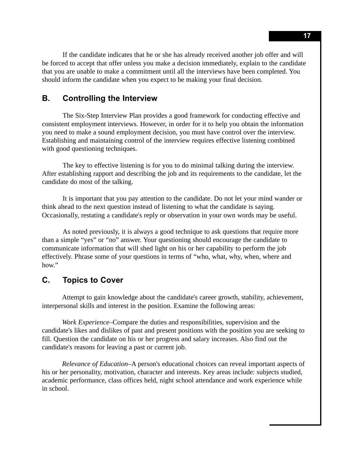If the candidate indicates that he or she has already received another job offer and will be forced to accept that offer unless you make a decision immediately, explain to the candidate that you are unable to make a commitment until all the interviews have been completed. You should inform the candidate when you expect to be making your final decision.

#### **B. Controlling the Interview**

The Six-Step Interview Plan provides a good framework for conducting effective and consistent employment interviews. However, in order for it to help you obtain the information you need to make a sound employment decision, you must have control over the interview. Establishing and maintaining control of the interview requires effective listening combined with good questioning techniques.

The key to effective listening is for you to do minimal talking during the interview. After establishing rapport and describing the job and its requirements to the candidate, let the candidate do most of the talking.

It is important that you pay attention to the candidate. Do not let your mind wander or think ahead to the next question instead of listening to what the candidate is saying. Occasionally, restating a candidate's reply or observation in your own words may be useful.

As noted previously, it is always a good technique to ask questions that require more than a simple "yes" or "no" answer. Your questioning should encourage the candidate to communicate information that will shed light on his or her capability to perform the job effectively. Phrase some of your questions in terms of "who, what, why, when, where and how."

#### **C. Topics to Cover**

Attempt to gain knowledge about the candidate's career growth, stability, achievement, interpersonal skills and interest in the position. Examine the following areas:

*Work Experience*–Compare the duties and responsibilities, supervision and the candidate's likes and dislikes of past and present positions with the position you are seeking to fill. Question the candidate on his or her progress and salary increases. Also find out the candidate's reasons for leaving a past or current job.

*Relevance of Education*–A person's educational choices can reveal important aspects of his or her personality, motivation, character and interests. Key areas include: subjects studied, academic performance, class offices held, night school attendance and work experience while in school.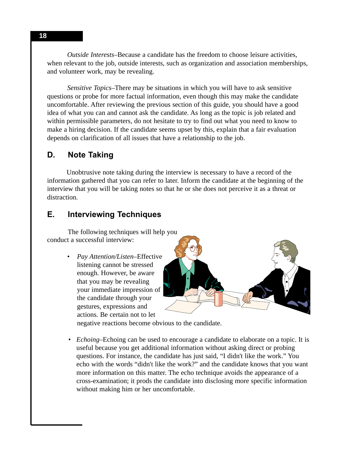*Outside Interests*–Because a candidate has the freedom to choose leisure activities, when relevant to the job, outside interests, such as organization and association memberships, and volunteer work, may be revealing.

*Sensitive Topics*–There may be situations in which you will have to ask sensitive questions or probe for more factual information, even though this may make the candidate uncomfortable. After reviewing the previous section of this guide, you should have a good idea of what you can and cannot ask the candidate. As long as the topic is job related and within permissible parameters, do not hesitate to try to find out what you need to know to make a hiring decision. If the candidate seems upset by this, explain that a fair evaluation depends on clarification of all issues that have a relationship to the job.

#### **D. Note Taking**

Unobtrusive note taking during the interview is necessary to have a record of the information gathered that you can refer to later. Inform the candidate at the beginning of the interview that you will be taking notes so that he or she does not perceive it as a threat or distraction.

#### **E. Interviewing Techniques**

The following techniques will help you conduct a successful interview:

> • *Pay Attention/Listen*–Effective listening cannot be stressed enough. However, be aware that you may be revealing your immediate impression of the candidate through your gestures, expressions and actions. Be certain not to let

negative reactions become obvious to the candidate.

• *Echoing*–Echoing can be used to encourage a candidate to elaborate on a topic. It is useful because you get additional information without asking direct or probing questions. For instance, the candidate has just said, "I didn't like the work." You echo with the words "didn't like the work?" and the candidate knows that you want more information on this matter. The echo technique avoids the appearance of a cross-examination; it prods the candidate into disclosing more specific information without making him or her uncomfortable.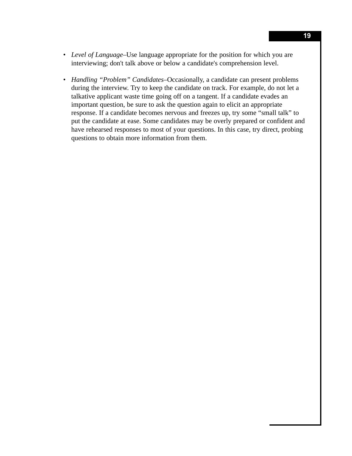- *Level of Language*–Use language appropriate for the position for which you are interviewing; don't talk above or below a candidate's comprehension level.
- *Handling "Problem" Candidates*–Occasionally, a candidate can present problems during the interview. Try to keep the candidate on track. For example, do not let a talkative applicant waste time going off on a tangent. If a candidate evades an important question, be sure to ask the question again to elicit an appropriate response. If a candidate becomes nervous and freezes up, try some "small talk" to put the candidate at ease. Some candidates may be overly prepared or confident and have rehearsed responses to most of your questions. In this case, try direct, probing questions to obtain more information from them.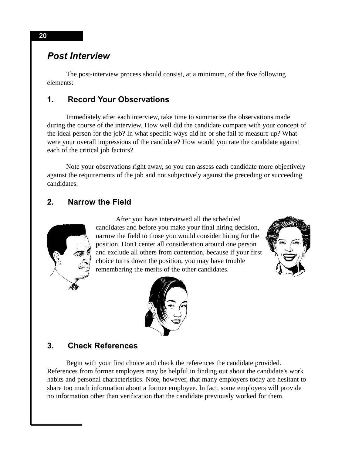# *Post Interview*

The post-interview process should consist, at a minimum, of the five following elements:

# **1. Record Your Observations**

Immediately after each interview, take time to summarize the observations made during the course of the interview. How well did the candidate compare with your concept of the ideal person for the job? In what specific ways did he or she fail to measure up? What were your overall impressions of the candidate? How would you rate the candidate against each of the critical job factors?

Note your observations right away, so you can assess each candidate more objectively against the requirements of the job and not subjectively against the preceding or succeeding candidates.

# **2. Narrow the Field**



After you have interviewed all the scheduled candidates and before you make your final hiring decision, narrow the field to those you would consider hiring for the position. Don't center all consideration around one person and exclude all others from contention, because if your first choice turns down the position, you may have trouble remembering the merits of the other candidates.





#### **3. Check References**

Begin with your first choice and check the references the candidate provided. References from former employers may be helpful in finding out about the candidate's work habits and personal characteristics. Note, however, that many employers today are hesitant to share too much information about a former employee. In fact, some employers will provide no information other than verification that the candidate previously worked for them.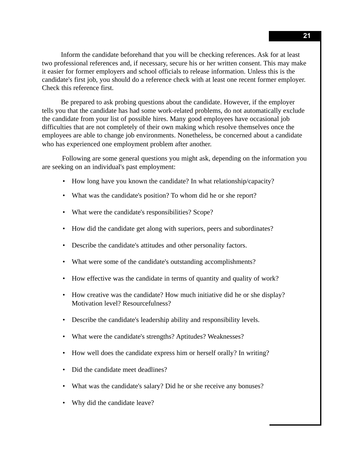Inform the candidate beforehand that you will be checking references. Ask for at least two professional references and, if necessary, secure his or her written consent. This may make it easier for former employers and school officials to release information. Unless this is the candidate's first job, you should do a reference check with at least one recent former employer. Check this reference first.

Be prepared to ask probing questions about the candidate. However, if the employer tells you that the candidate has had some work-related problems, do not automatically exclude the candidate from your list of possible hires. Many good employees have occasional job difficulties that are not completely of their own making which resolve themselves once the employees are able to change job environments. Nonetheless, be concerned about a candidate who has experienced one employment problem after another.

Following are some general questions you might ask, depending on the information you are seeking on an individual's past employment:

- How long have you known the candidate? In what relationship/capacity?
- What was the candidate's position? To whom did he or she report?
- What were the candidate's responsibilities? Scope?
- How did the candidate get along with superiors, peers and subordinates?
- Describe the candidate's attitudes and other personality factors.
- What were some of the candidate's outstanding accomplishments?
- How effective was the candidate in terms of quantity and quality of work?
- How creative was the candidate? How much initiative did he or she display? Motivation level? Resourcefulness?
- Describe the candidate's leadership ability and responsibility levels.
- What were the candidate's strengths? Aptitudes? Weaknesses?
- How well does the candidate express him or herself orally? In writing?
- Did the candidate meet deadlines?
- What was the candidate's salary? Did he or she receive any bonuses?
- Why did the candidate leave?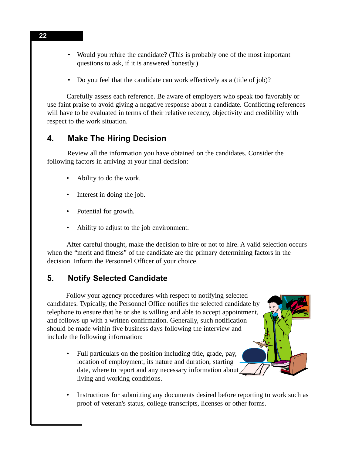- Would you rehire the candidate? (This is probably one of the most important questions to ask, if it is answered honestly.)
- Do you feel that the candidate can work effectively as a (title of job)?

Carefully assess each reference. Be aware of employers who speak too favorably or use faint praise to avoid giving a negative response about a candidate. Conflicting references will have to be evaluated in terms of their relative recency, objectivity and credibility with respect to the work situation.

#### **4. Make The Hiring Decision**

Review all the information you have obtained on the candidates. Consider the following factors in arriving at your final decision:

- Ability to do the work.
- Interest in doing the job.
- Potential for growth.
- Ability to adjust to the job environment.

After careful thought, make the decision to hire or not to hire. A valid selection occurs when the "merit and fitness" of the candidate are the primary determining factors in the decision. Inform the Personnel Officer of your choice.

# **5. Notify Selected Candidate**

Follow your agency procedures with respect to notifying selected candidates. Typically, the Personnel Office notifies the selected candidate by telephone to ensure that he or she is willing and able to accept appointment, and follows up with a written confirmation. Generally, such notification should be made within five business days following the interview and include the following information:

- Full particulars on the position including title, grade, pay, location of employment, its nature and duration, starting date, where to report and any necessary information about living and working conditions.
- Instructions for submitting any documents desired before reporting to work such as proof of veteran's status, college transcripts, licenses or other forms.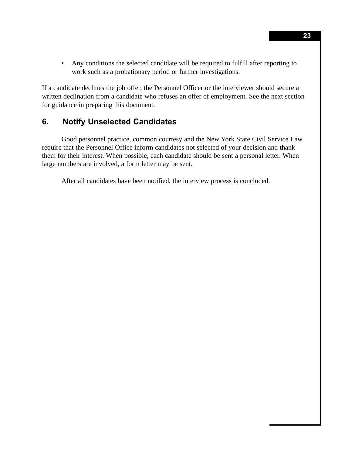• Any conditions the selected candidate will be required to fulfill after reporting to work such as a probationary period or further investigations.

If a candidate declines the job offer, the Personnel Officer or the interviewer should secure a written declination from a candidate who refuses an offer of employment. See the next section for guidance in preparing this document.

#### **6. Notify Unselected Candidates**

Good personnel practice, common courtesy and the New York State Civil Service Law require that the Personnel Office inform candidates not selected of your decision and thank them for their interest. When possible, each candidate should be sent a personal letter. When large numbers are involved, a form letter may be sent.

After all candidates have been notified, the interview process is concluded.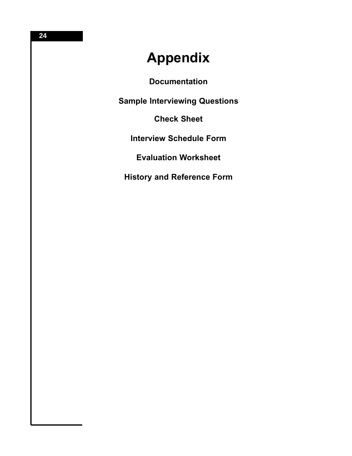# **Appendix**

**Documentation**

**Sample Interviewing Questions**

**Check Sheet**

**Interview Schedule Form**

**Evaluation Worksheet**

**History and Reference Form**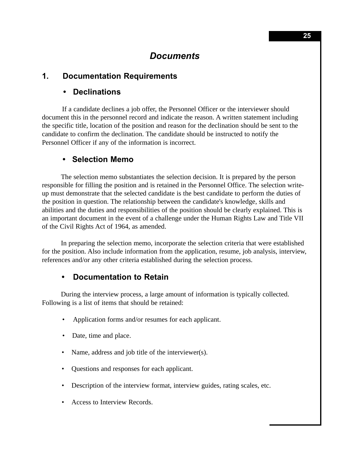# *Documents*

#### **1. Documentation Requirements**

#### **• Declinations**

If a candidate declines a job offer, the Personnel Officer or the interviewer should document this in the personnel record and indicate the reason. A written statement including the specific title, location of the position and reason for the declination should be sent to the candidate to confirm the declination. The candidate should be instructed to notify the Personnel Officer if any of the information is incorrect.

#### **• Selection Memo**

The selection memo substantiates the selection decision. It is prepared by the person responsible for filling the position and is retained in the Personnel Office. The selection writeup must demonstrate that the selected candidate is the best candidate to perform the duties of the position in question. The relationship between the candidate's knowledge, skills and abilities and the duties and responsibilities of the position should be clearly explained. This is an important document in the event of a challenge under the Human Rights Law and Title VII of the Civil Rights Act of 1964, as amended.

In preparing the selection memo, incorporate the selection criteria that were established for the position. Also include information from the application, resume, job analysis, interview, references and/or any other criteria established during the selection process.

#### **• Documentation to Retain**

During the interview process, a large amount of information is typically collected. Following is a list of items that should be retained:

- Application forms and/or resumes for each applicant.
- Date, time and place.
- Name, address and job title of the interviewer(s).
- Questions and responses for each applicant.
- Description of the interview format, interview guides, rating scales, etc.
- Access to Interview Records.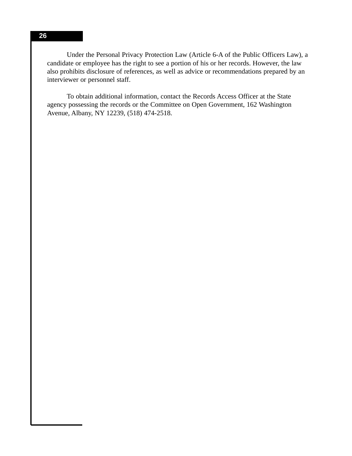Under the Personal Privacy Protection Law (Article 6-A of the Public Officers Law), a candidate or employee has the right to see a portion of his or her records. However, the law also prohibits disclosure of references, as well as advice or recommendations prepared by an interviewer or personnel staff.

To obtain additional information, contact the Records Access Officer at the State agency possessing the records or the Committee on Open Government, 162 Washington Avenue, Albany, NY 12239, (518) 474-2518.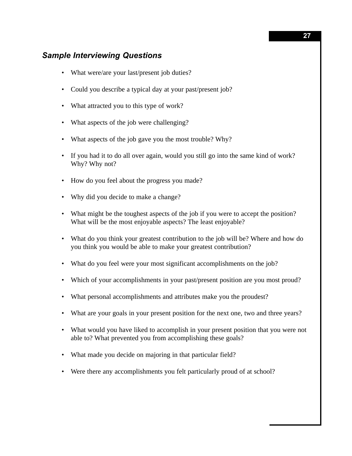#### *Sample Interviewing Questions*

- What were/are your last/present job duties?
- Could you describe a typical day at your past/present job?
- What attracted you to this type of work?
- What aspects of the job were challenging?
- What aspects of the job gave you the most trouble? Why?
- If you had it to do all over again, would you still go into the same kind of work? Why? Why not?
- How do you feel about the progress you made?
- Why did you decide to make a change?
- What might be the toughest aspects of the job if you were to accept the position? What will be the most enjoyable aspects? The least enjoyable?
- What do you think your greatest contribution to the job will be? Where and how do you think you would be able to make your greatest contribution?
- What do you feel were your most significant accomplishments on the job?
- Which of your accomplishments in your past/present position are you most proud?
- What personal accomplishments and attributes make you the proudest?
- What are your goals in your present position for the next one, two and three years?
- What would you have liked to accomplish in your present position that you were not able to? What prevented you from accomplishing these goals?
- What made you decide on majoring in that particular field?
- Were there any accomplishments you felt particularly proud of at school?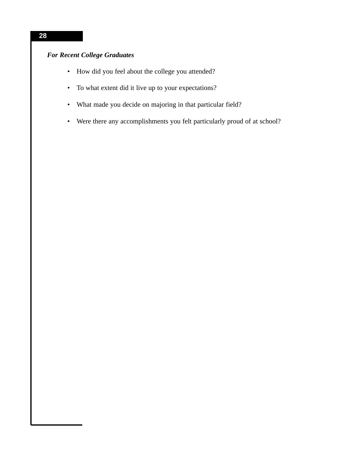# *For Recent College Graduates*

- How did you feel about the college you attended?
- To what extent did it live up to your expectations?
- What made you decide on majoring in that particular field?
- Were there any accomplishments you felt particularly proud of at school?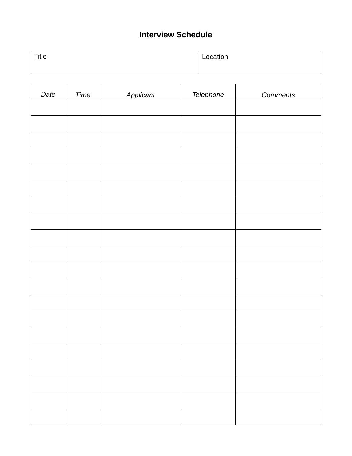# **Interview Schedule**

| <b>Title</b> | Location |
|--------------|----------|
|              |          |

 $\overline{\phantom{a}}$ 

 $\overline{\phantom{a}}$ 

 $\overline{\phantom{a}}$ 

 $\overline{a}$ 

 $\overline{\phantom{0}}$ 

| Date | Time | Applicant | Telephone | <b>Comments</b> |
|------|------|-----------|-----------|-----------------|
|      |      |           |           |                 |
|      |      |           |           |                 |
|      |      |           |           |                 |
|      |      |           |           |                 |
|      |      |           |           |                 |
|      |      |           |           |                 |
|      |      |           |           |                 |
|      |      |           |           |                 |
|      |      |           |           |                 |
|      |      |           |           |                 |
|      |      |           |           |                 |
|      |      |           |           |                 |
|      |      |           |           |                 |
|      |      |           |           |                 |
|      |      |           |           |                 |
|      |      |           |           |                 |
|      |      |           |           |                 |
|      |      |           |           |                 |
|      |      |           |           |                 |
|      |      |           |           |                 |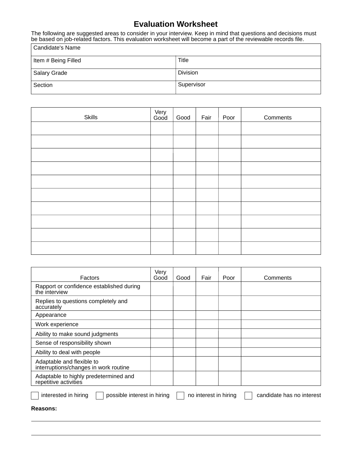# **Evaluation Worksheet**

The following are suggested areas to consider in your interview. Keep in mind that questions and decisions must be based on job-related factors. This evaluation worksheet will become a part of the reviewable records file.

| Candidate's Name    |                 |
|---------------------|-----------------|
| Item # Being Filled | Title           |
| Salary Grade        | <b>Division</b> |
| Section             | Supervisor      |

| Skills | Very<br>Good | Good | Fair | Poor | Comments |
|--------|--------------|------|------|------|----------|
|        |              |      |      |      |          |
|        |              |      |      |      |          |
|        |              |      |      |      |          |
|        |              |      |      |      |          |
|        |              |      |      |      |          |
|        |              |      |      |      |          |
|        |              |      |      |      |          |
|        |              |      |      |      |          |
|        |              |      |      |      |          |
|        |              |      |      |      |          |

| Factors                                                                                                   | Very<br>Good | Good | Fair | Poor | Comments |
|-----------------------------------------------------------------------------------------------------------|--------------|------|------|------|----------|
| Rapport or confidence established during<br>the interview                                                 |              |      |      |      |          |
| Replies to questions completely and<br>accurately                                                         |              |      |      |      |          |
| Appearance                                                                                                |              |      |      |      |          |
| Work experience                                                                                           |              |      |      |      |          |
| Ability to make sound judgments                                                                           |              |      |      |      |          |
| Sense of responsibility shown                                                                             |              |      |      |      |          |
| Ability to deal with people                                                                               |              |      |      |      |          |
| Adaptable and flexible to<br>interruptions/changes in work routine                                        |              |      |      |      |          |
| Adaptable to highly predetermined and<br>repetitive activities                                            |              |      |      |      |          |
| interested in hiring<br>possible interest in hiring<br>candidate has no interest<br>no interest in hiring |              |      |      |      |          |
| Reasons:                                                                                                  |              |      |      |      |          |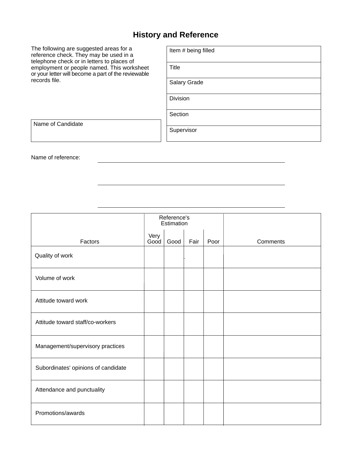# **History and Reference**

The following are suggested areas for a reference check. They may be used in a telephone check or in letters to places of employment or people named. This worksheet or your letter will become a part of the reviewable records file.

| Item # being filled |
|---------------------|
| Title               |
| Salary Grade        |
| <b>Division</b>     |
| Section             |
| Supervisor          |

Name of Candidate

Name of reference:

|                                     | Reference's<br>Estimation |      |      |      |          |
|-------------------------------------|---------------------------|------|------|------|----------|
| Factors                             | Very<br>Good              | Good | Fair | Poor | Comments |
| Quality of work                     |                           |      |      |      |          |
| Volume of work                      |                           |      |      |      |          |
| Attitude toward work                |                           |      |      |      |          |
| Attitude toward staff/co-workers    |                           |      |      |      |          |
| Management/supervisory practices    |                           |      |      |      |          |
| Subordinates' opinions of candidate |                           |      |      |      |          |
| Attendance and punctuality          |                           |      |      |      |          |
| Promotions/awards                   |                           |      |      |      |          |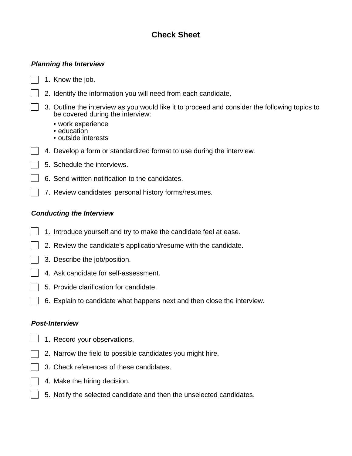# **Check Sheet**

#### *Planning the Interview*

1. Know the job.

- 2. Identify the information you will need from each candidate.
- 3. Outline the interview as you would like it to proceed and consider the following topics to be covered during the interview:
	- work experience
	- education
	- outside interests
- 4. Develop a form or standardized format to use during the interview.
- 5. Schedule the interviews.
	- 6. Send written notification to the candidates.
- 7. Review candidates' personal history forms/resumes.

#### *Conducting the Interview*

- 1. Introduce yourself and try to make the candidate feel at ease.
- 2. Review the candidate's application/resume with the candidate.
- 3. Describe the job/position.
- 4. Ask candidate for self-assessment.
- 5. Provide clarification for candidate.
- 6. Explain to candidate what happens next and then close the interview.

#### *Post-Interview*

- 1. Record your observations.
- 2. Narrow the field to possible candidates you might hire.
- 3. Check references of these candidates.
- 4. Make the hiring decision.
- 5. Notify the selected candidate and then the unselected candidates.